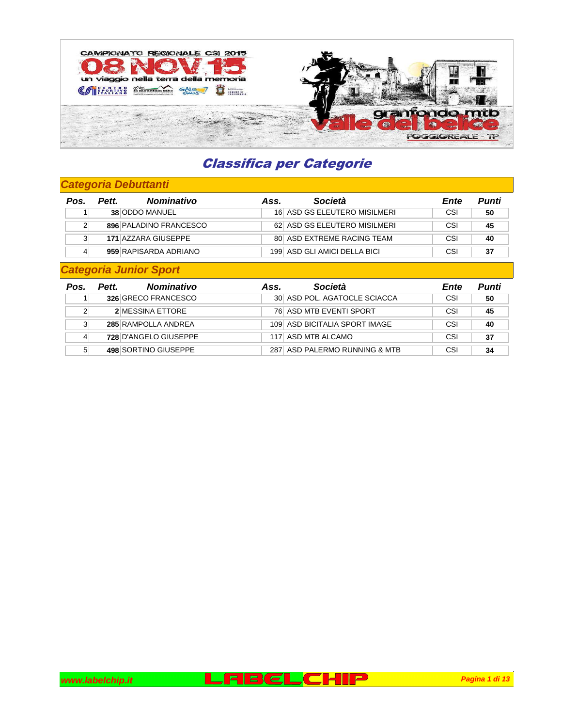

### **Categoria Debuttanti**

| Pos. | <b>Nominativo</b><br>Pett. | Ass. | Società                      | Ente | Punti |
|------|----------------------------|------|------------------------------|------|-------|
|      | 38 ODDO MANUEL             |      | 16 ASD GS ELEUTERO MISILMERI | CSI  | 50    |
|      | 896 PALADINO FRANCESCO     |      | 62 ASD GS ELEUTERO MISILMERI | CSI  | 45    |
|      | 171 AZZARA GIUSEPPE        |      | 80 ASD EXTREME RACING TEAM   | CSI  | 40    |
|      | 959 RAPISARDA ADRIANO      |      | 199 ASD GLI AMICI DELLA BICI | CSI  | 37    |

### **Categoria Junior Sport**

| Pos. | <b>Nominativo</b><br>Pett. | Ass. | Società                       | Ente | Punti |
|------|----------------------------|------|-------------------------------|------|-------|
|      | 326 GRECO FRANCESCO        |      | 30 ASD POL. AGATOCLE SCIACCA  | CSI  | 50    |
|      | 2 MESSINA ETTORE           |      | 76 ASD MTB EVENTI SPORT       | CSI  | 45    |
|      | 285 RAMPOLLA ANDREA        |      | 109 ASD BICITALIA SPORT IMAGE | CSI  | 40    |
|      | 728 D'ANGELO GIUSEPPE      |      | 117 ASD MTB ALCAMO            | CSI  | 37    |
|      | 498 SORTINO GIUSEPPE       |      | 287 ASD PALERMO RUNNING & MTB | CSI  | 34    |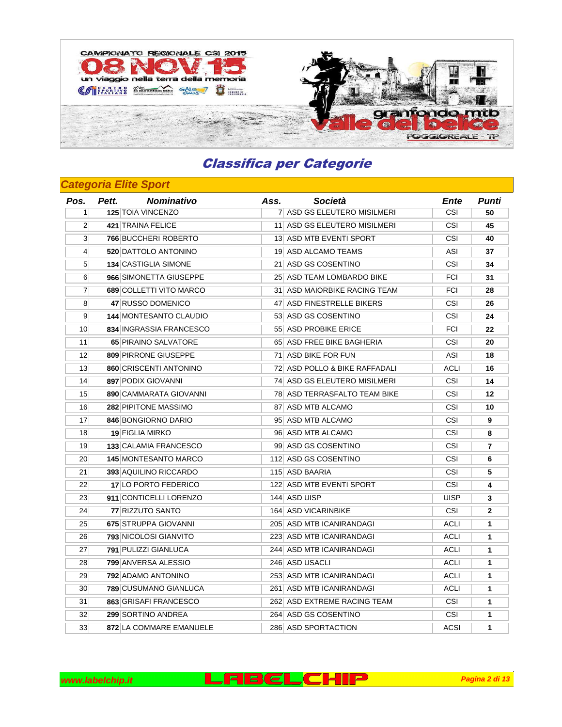

### **Categoria Elite Sport**

| Pos.             | <b>Nominativo</b><br>Pett.    | Ass. | Società                       | Ente        | Punti          |
|------------------|-------------------------------|------|-------------------------------|-------------|----------------|
| 1 <sup>1</sup>   | 125 TOIA VINCENZO             |      | 7 ASD GS ELEUTERO MISILMERI   | <b>CSI</b>  | 50             |
| $\overline{2}$   | 421 TRAINA FELICE             |      | 11 ASD GS ELEUTERO MISILMERI  | <b>CSI</b>  | 45             |
| $\mathbf{3}$     | 766 BUCCHERI ROBERTO          |      | 13 ASD MTB EVENTI SPORT       | <b>CSI</b>  | 40             |
| $\left 4\right $ | 520 DATTOLO ANTONINO          |      | 19 ASD ALCAMO TEAMS           | ASI         | 37             |
| 5 <sup>1</sup>   | 134 CASTIGLIA SIMONE          |      | 21 ASD GS COSENTINO           | CSI         | 34             |
| 6 <sup>1</sup>   | 966 SIMONETTA GIUSEPPE        |      | 25 ASD TEAM LOMBARDO BIKE     | <b>FCI</b>  | 31             |
| $\overline{7}$   | 689 COLLETTI VITO MARCO       |      | 31 ASD MAIORBIKE RACING TEAM  | <b>FCI</b>  | 28             |
| 8 <sup>1</sup>   | 47 RUSSO DOMENICO             |      | 47 ASD FINESTRELLE BIKERS     | CSI         | 26             |
| $\overline{9}$   | <b>144 MONTESANTO CLAUDIO</b> |      | 53 ASD GS COSENTINO           | CSI         | 24             |
| 10 <sup>1</sup>  | 834 INGRASSIA FRANCESCO       |      | 55 ASD PROBIKE ERICE          | <b>FCI</b>  | 22             |
| 11               | <b>65 PIRAINO SALVATORE</b>   |      | 65 ASD FREE BIKE BAGHERIA     | <b>CSI</b>  | 20             |
| 12               | 809 PIRRONE GIUSEPPE          |      | 71 ASD BIKE FOR FUN           | ASI         | 18             |
| 13               | 860 CRISCENTI ANTONINO        |      | 72 ASD POLLO & BIKE RAFFADALI | ACLI        | 16             |
| 14               | 897 PODIX GIOVANNI            |      | 74 ASD GS ELEUTERO MISILMERI  | CSI         | 14             |
| 15               | 890 CAMMARATA GIOVANNI        |      | 78 ASD TERRASFALTO TEAM BIKE  | <b>CSI</b>  | 12             |
| 16 <sup>1</sup>  | 282 PIPITONE MASSIMO          |      | 87 ASD MTB ALCAMO             | <b>CSI</b>  | 10             |
| 17               | 846 BONGIORNO DARIO           |      | 95 ASD MTB ALCAMO             | CSI         | 9              |
| 18               | <b>19 FIGLIA MIRKO</b>        |      | 96 ASD MTB ALCAMO             | CSI         | 8              |
| 19 <sup>°</sup>  | 133 CALAMIA FRANCESCO         |      | 99 ASD GS COSENTINO           | CSI         | $\overline{7}$ |
| 20 <sup>2</sup>  | <b>145 MONTESANTO MARCO</b>   |      | 112 ASD GS COSENTINO          | <b>CSI</b>  | 6              |
| 21               | <b>393 AQUILINO RICCARDO</b>  |      | 115 ASD BAARIA                | <b>CSI</b>  | 5              |
| 22               | 17 LO PORTO FEDERICO          |      | 122 ASD MTB EVENTI SPORT      | CSI         | 4              |
| 23               | 911 CONTICELLI LORENZO        |      | 144 ASD UISP                  | UISP        | 3              |
| 24               | 77 RIZZUTO SANTO              |      | 164 ASD VICARINBIKE           | CSI         | $\overline{2}$ |
| 25               | 675 STRUPPA GIOVANNI          |      | 205 ASD MTB ICANIRANDAGI      | <b>ACLI</b> | $\mathbf{1}$   |
| 26               | <b>793 NICOLOSI GIANVITO</b>  |      | 223 ASD MTB ICANIRANDAGI      | ACLI        | 1              |
| 27               | 791 PULIZZI GIANLUCA          |      | 244 ASD MTB ICANIRANDAGI      | ACLI        | 1              |
| 28               | 799 ANVERSA ALESSIO           |      | 246  ASD USACLI               | ACLI        | $\mathbf{1}$   |
| 29               | 792 ADAMO ANTONINO            |      | 253 ASD MTB ICANIRANDAGI      | <b>ACLI</b> | $\mathbf{1}$   |
| 30               | 789 CUSUMANO GIANLUCA         |      | 261 ASD MTB ICANIRANDAGI      | ACLI        | $\mathbf{1}$   |
| 31               | 863 GRISAFI FRANCESCO         |      | 262 ASD EXTREME RACING TEAM   | CSI         | 1              |
| 32               | 299 SORTINO ANDREA            |      | 264 ASD GS COSENTINO          | CSI         | $\mathbf{1}$   |
| 33               | 872 LA COMMARE EMANUELE       |      | 286 ASD SPORTACTION           | ACSI        | 1              |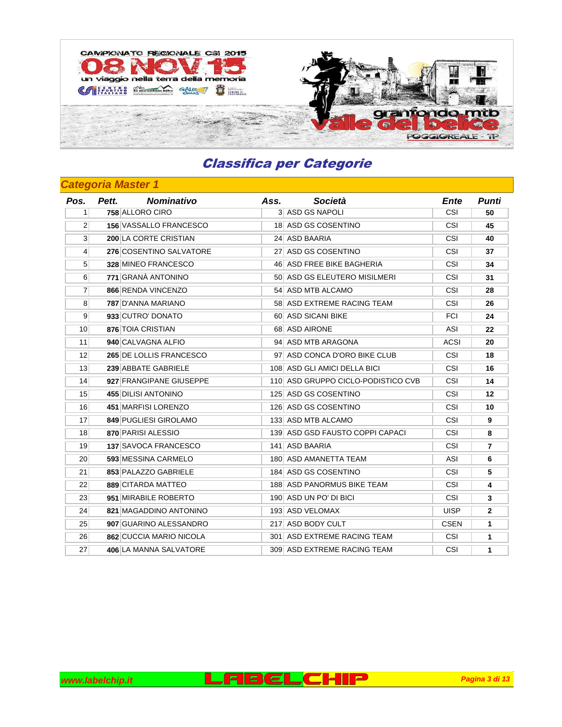

| Pos.            | <b>Nominativo</b><br>Pett.    | Ass. | Società                            | Ente        | Punti          |
|-----------------|-------------------------------|------|------------------------------------|-------------|----------------|
| 11              | 758 ALLORO CIRO               |      | 3 ASD GS NAPOLI                    | CSI         | 50             |
| $\overline{2}$  | <b>156 VASSALLO FRANCESCO</b> |      | 18 ASD GS COSENTINO                | CSI         | 45             |
| 3 <sup>1</sup>  | 200 LA CORTE CRISTIAN         |      | 24 ASD BAARIA                      | <b>CSI</b>  | 40             |
| $\vert$         | 276 COSENTINO SALVATORE       |      | 27 ASD GS COSENTINO                | CSI         | 37             |
| 5 <sup>1</sup>  | 328 MINEO FRANCESCO           |      | 46 ASD FREE BIKE BAGHERIA          | CSI         | 34             |
| 6 <sup>1</sup>  | 771 GRANA ANTONINO            |      | 50 ASD GS ELEUTERO MISILMERI       | <b>CSI</b>  | 31             |
| $\overline{7}$  | 866 RENDA VINCENZO            |      | 54 ASD MTB ALCAMO                  | CSI         | 28             |
| 8 <sup>1</sup>  | 787 D'ANNA MARIANO            |      | 58 ASD EXTREME RACING TEAM         | CSI         | 26             |
| 9               | 933 CUTRO' DONATO             |      | 60 ASD SICANI BIKE                 | <b>FCI</b>  | 24             |
| 10 <sup>1</sup> | 876 TOIA CRISTIAN             |      | 68 ASD AIRONE                      | ASI         | 22             |
| 11              | 940 CALVAGNA ALFIO            |      | 94 ASD MTB ARAGONA                 | ACSI        | 20             |
| 12 <sup>1</sup> | 265 DE LOLLIS FRANCESCO       |      | 97 ASD CONCA D'ORO BIKE CLUB       | CSI         | 18             |
| 13 <sup>1</sup> | 239 ABBATE GABRIELE           |      | 108 ASD GLI AMICI DELLA BICI       | CSI         | 16             |
| 14              | 927 FRANGIPANE GIUSEPPE       |      | 110 ASD GRUPPO CICLO-PODISTICO CVB | CSI         | 14             |
| 15              | 455 DILISI ANTONINO           |      | 125 ASD GS COSENTINO               | CSI         | 12             |
| 16              | 451 MARFISI LORENZO           |      | 126 ASD GS COSENTINO               | CSI         | 10             |
| 17              | 849 PUGLIESI GIROLAMO         |      | 133 ASD MTB ALCAMO                 | <b>CSI</b>  | 9              |
| 18              | 870 PARISI ALESSIO            |      | 139 ASD GSD FAUSTO COPPI CAPACI    | CSI         | 8              |
| 19              | 137 SAVOCA FRANCESCO          |      | 141 ASD BAARIA                     | CSI         | $\overline{7}$ |
| 20              | 593 MESSINA CARMELO           |      | 180 ASD AMANETTA TEAM              | ASI         | 6              |
| 21              | 853 PALAZZO GABRIELE          |      | 184 ASD GS COSENTINO               | CSI         | 5              |
| 22              | 889 CITARDA MATTEO            |      | 188 ASD PANORMUS BIKE TEAM         | CSI         | 4              |
| 23              | 951 MIRABILE ROBERTO          |      | 190 ASD UN PO' DI BICI             | CSI         | 3              |
| 24              | 821 MAGADDINO ANTONINO        |      | 193 ASD VELOMAX                    | <b>UISP</b> | $\overline{2}$ |
| 25              | 907 GUARINO ALESSANDRO        |      | 217 ASD BODY CULT                  | <b>CSEN</b> | $\mathbf{1}$   |
| 26              | 862 CUCCIA MARIO NICOLA       |      | 301 ASD EXTREME RACING TEAM        | CSI         | $\mathbf{1}$   |
| 27              | 406 LA MANNA SALVATORE        |      | 309 ASD EXTREME RACING TEAM        | CSI         | $\mathbf{1}$   |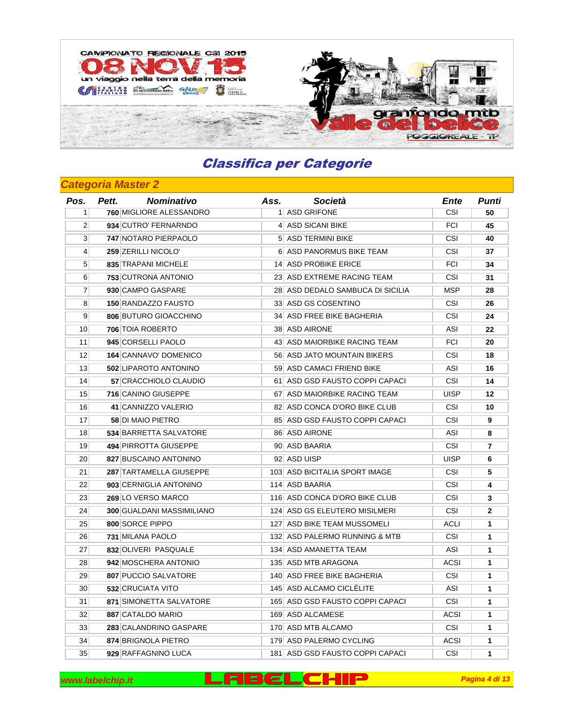

### **Categoria Master 2**

| Pos.            | Pett. | <b>Nominativo</b>                | Ass. | Società                          | Ente        | Punti          |
|-----------------|-------|----------------------------------|------|----------------------------------|-------------|----------------|
| 1 <sup>1</sup>  |       | 760 MIGLIORE ALESSANDRO          |      | 1 ASD GRIFONE                    | <b>CSI</b>  | 50             |
| $\overline{2}$  |       | 934 CUTRO' FERNARNDO             |      | 4 ASD SICANI BIKE                | <b>FCI</b>  | 45             |
| 3 <sup>1</sup>  |       | 747 NOTARO PIERPAOLO             |      | 5 ASD TERMINI BIKE               | <b>CSI</b>  | 40             |
| $\vert 4 \vert$ |       | 259 ZERILLI NICOLO'              |      | 6 ASD PANORMUS BIKE TEAM         | <b>CSI</b>  | 37             |
| 5 <sup>1</sup>  |       | 835 TRAPANI MICHELE              |      | 14 ASD PROBIKE ERICE             | <b>FCI</b>  | 34             |
| $6 \mid$        |       | 753 CUTRONA ANTONIO              |      | 23 ASD EXTREME RACING TEAM       | CSI         | 31             |
| $\overline{7}$  |       | 930 CAMPO GASPARE                |      | 28 ASD DEDALO SAMBUCA DI SICILIA | <b>MSP</b>  | 28             |
| 8               |       | <b>150 RANDAZZO FAUSTO</b>       |      | 33 ASD GS COSENTINO              | CSI         | 26             |
| 9 <sup>°</sup>  |       | 806 BUTURO GIOACCHINO            |      | 34 ASD FREE BIKE BAGHERIA        | <b>CSI</b>  | 24             |
| 10 <sup>1</sup> |       | 706 TOIA ROBERTO                 |      | 38 ASD AIRONE                    | ASI         | 22             |
| 11              |       | 945 CORSELLI PAOLO               |      | 43 ASD MAIORBIKE RACING TEAM     | <b>FCI</b>  | 20             |
| 12              |       | 164 CANNAVO' DOMENICO            |      | 56 ASD JATO MOUNTAIN BIKERS      | CSI         | 18             |
| 13 <sup>1</sup> |       | 502 LIPAROTO ANTONINO            |      | 59 ASD CAMACI FRIEND BIKE        | ASI         | 16             |
| 14              |       | 57 CRACCHIOLO CLAUDIO            |      | 61 ASD GSD FAUSTO COPPI CAPACI   | CSI         | 14             |
| 15              |       | 716 CANINO GIUSEPPE              |      | 67 ASD MAIORBIKE RACING TEAM     | <b>UISP</b> | 12             |
| 16              |       | 41 CANNIZZO VALERIO              |      | 82 ASD CONCA D'ORO BIKE CLUB     | <b>CSI</b>  | 10             |
| 17              |       | <b>58 DI MAIO PIETRO</b>         |      | 85 ASD GSD FAUSTO COPPI CAPACI   | CSI         | 9              |
| 18              |       | 534 BARRETTA SALVATORE           |      | 86 ASD AIRONE                    | ASI         | 8              |
| 19              |       | 494 PIRROTTA GIUSEPPE            |      | 90 ASD BAARIA                    | <b>CSI</b>  | $\overline{7}$ |
| 20 <sup>2</sup> |       | 827 BUSCAINO ANTONINO            |      | 92 ASD UISP                      | <b>UISP</b> | 6              |
| 21              |       | 287 TARTAMELLA GIUSEPPE          |      | 103 ASD BICITALIA SPORT IMAGE    | <b>CSI</b>  | 5              |
| 22              |       | 903 CERNIGLIA ANTONINO           |      | 114 ASD BAARIA                   | <b>CSI</b>  | 4              |
| 23              |       | 269 LO VERSO MARCO               |      | 116 ASD CONCA D'ORO BIKE CLUB    | <b>CSI</b>  | 3              |
| 24              |       | <b>300 GUALDANI MASSIMILIANO</b> |      | 124 ASD GS ELEUTERO MISILMERI    | <b>CSI</b>  | 2              |
| 25              |       | 800 SORCE PIPPO                  |      | 127 ASD BIKE TEAM MUSSOMELI      | <b>ACLI</b> | 1              |
| 26              |       | 731 MILANA PAOLO                 |      | 132 ASD PALERMO RUNNING & MTB    | CSI         | $\mathbf{1}$   |
| 27              |       | 832 OLIVERI PASQUALE             |      | 134 ASD AMANETTA TEAM            | ASI         | $\mathbf{1}$   |
| 28              |       | 942 MOSCHERA ANTONIO             |      | 135 ASD MTB ARAGONA              | ACSI        | $\mathbf{1}$   |
| 29              |       | 807 PUCCIO SALVATORE             |      | 140 ASD FREE BIKE BAGHERIA       | <b>CSI</b>  | 1              |
| 30 <sup>°</sup> |       | 532 CRUCIATA VITO                |      | 145 ASD ALCAMO CICLELITE         | ASI         | 1              |
| 31              |       | 871 SIMONETTA SALVATORE          |      | 165 ASD GSD FAUSTO COPPI CAPACI  | CSI         | 1              |
| 32              |       | 887 CATALDO MARIO                |      | 169 ASD ALCAMESE                 | <b>ACSI</b> | $\mathbf{1}$   |
| 33              |       | 283 CALANDRINO GASPARE           |      | 170 ASD MTB ALCAMO               | <b>CSI</b>  | $\mathbf{1}$   |
| 34              |       | 874 BRIGNOLA PIETRO              |      | 179 ASD PALERMO CYCLING          | <b>ACSI</b> | $\mathbf{1}$   |
| 35              |       | 929 RAFFAGNINO LUCA              |      | 181 ASD GSD FAUSTO COPPI CAPACI  | <b>CSI</b>  | 1              |

**www.labelchip.it Pagina 4 di 13 Pagina 4 di 13 Pagina 4 di 13**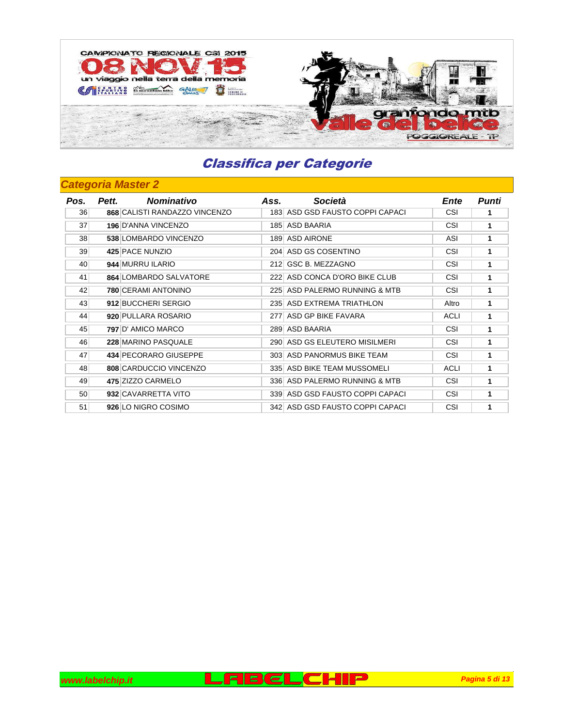

| Pos. | <b>Nominativo</b><br>Pett.    | Ass. | Società                         | Ente        | Punti |
|------|-------------------------------|------|---------------------------------|-------------|-------|
| 36   | 868 CALISTI RANDAZZO VINCENZO |      | 183 ASD GSD FAUSTO COPPI CAPACI | CSI         |       |
| 37   | 196 D'ANNA VINCENZO           |      | 185 ASD BAARIA                  | CSI         | 1     |
| 38   | 538 LOMBARDO VINCENZO         |      | 189 ASD AIRONE                  | <b>ASI</b>  | 1     |
| 39   | 425 PACE NUNZIO               |      | 204 ASD GS COSENTINO            | CSI         | 1     |
| 40   | 944 MURRU ILARIO              |      | 212 GSC B. MEZZAGNO             | CSI         | 1     |
| 41   | 864 LOMBARDO SALVATORE        |      | 222 ASD CONCA D'ORO BIKE CLUB   | CSI         | 1     |
| 42   | 780 CERAMI ANTONINO           |      | 225 ASD PALERMO RUNNING & MTB   | CSI         | 1     |
| 43   | 912 BUCCHERI SERGIO           |      | 235 ASD EXTREMA TRIATHLON       | Altro       | 1     |
| 44   | 920 PULLARA ROSARIO           |      | 277 ASD GP BIKE FAVARA          | <b>ACLI</b> | 1     |
| 45   | 797 D'AMICO MARCO             |      | 289 ASD BAARIA                  | CSI         | 1     |
| 46   | 228 MARINO PASQUALE           |      | 290 ASD GS ELEUTERO MISILMERI   | CSI         | 1     |
| 47   | 434 PECORARO GIUSEPPE         |      | 303 ASD PANORMUS BIKE TEAM      | CSI         | 1     |
| 48   | 808 CARDUCCIO VINCENZO        |      | 335 ASD BIKE TEAM MUSSOMELI     | <b>ACLI</b> | 1     |
| 49   | 475 ZIZZO CARMELO             |      | 336 ASD PALERMO RUNNING & MTB   | CSI         | 1     |
| 50   | 932 CAVARRETTA VITO           |      | 339 ASD GSD FAUSTO COPPI CAPACI | CSI         | 1     |
| 51   | 926 LO NIGRO COSIMO           |      | 342 ASD GSD FAUSTO COPPI CAPACI | CSI         | 1     |

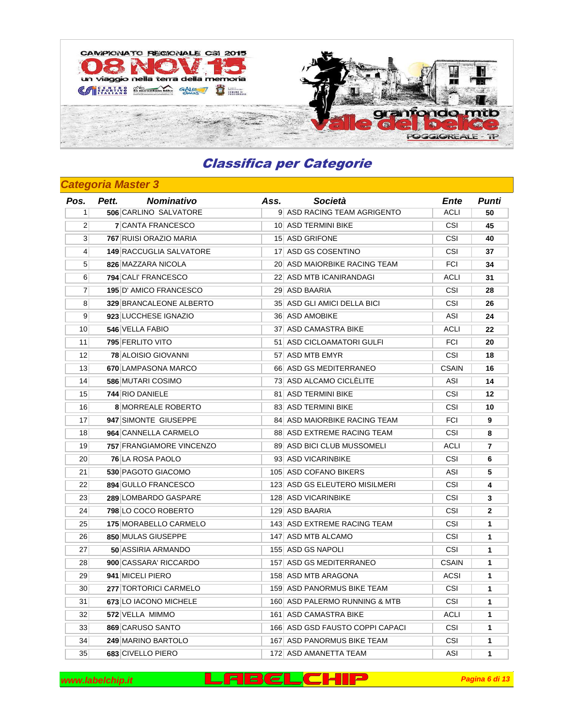

| Pos.             | Pett. | <b>Nominativo</b>         | Ass. | Società                         | Ente         | Punti          |
|------------------|-------|---------------------------|------|---------------------------------|--------------|----------------|
| 1 <sup>1</sup>   |       | 506 CARLINO SALVATORE     |      | 9 ASD RACING TEAM AGRIGENTO     | ACLI         | 50             |
| 2 <sup>1</sup>   |       | <b>7 CANTA FRANCESCO</b>  |      | 10 ASD TERMINI BIKE             | <b>CSI</b>   | 45             |
| 3 <sup>1</sup>   |       | 767 RUISI ORAZIO MARIA    |      | 15 ASD GRIFONE                  | <b>CSI</b>   | 40             |
| $\left 4\right $ |       | 149 RACCUGLIA SALVATORE   |      | 17 ASD GS COSENTINO             | <b>CSI</b>   | 37             |
| 5 <sup>1</sup>   |       | 826 MAZZARA NICOLA        |      | 20 ASD MAIORBIKE RACING TEAM    | <b>FCI</b>   | 34             |
| 6 <sup>1</sup>   |       | 794 CALI' FRANCESCO       |      | 22 ASD MTB ICANIRANDAGI         | ACLI         | 31             |
| $\overline{7}$   |       | 195 D' AMICO FRANCESCO    |      | 29 ASD BAARIA                   | CSI          | 28             |
| 8 <sup>1</sup>   |       | 329 BRANCALEONE ALBERTO   |      | 35 ASD GLI AMICI DELLA BICI     | <b>CSI</b>   | 26             |
| 9 <sup>1</sup>   |       | 923 LUCCHESE IGNAZIO      |      | 36 ASD AMOBIKE                  | <b>ASI</b>   | 24             |
| 10               |       | 546 VELLA FABIO           |      | 37 ASD CAMASTRA BIKE            | ACLI         | 22             |
| 11               |       | 795 FERLITO VITO          |      | 51 ASD CICLOAMATORI GULFI       | <b>FCI</b>   | 20             |
| 12               |       | 78 ALOISIO GIOVANNI       |      | 57 ASD MTB EMYR                 | <b>CSI</b>   | 18             |
| 13 <sup>1</sup>  |       | 670 LAMPASONA MARCO       |      | 66 ASD GS MEDITERRANEO          | <b>CSAIN</b> | 16             |
| 14               |       | 586 MUTARI COSIMO         |      | 73 ASD ALCAMO CICLELITE         | ASI          | 14             |
| 15               |       | 744 RIO DANIELE           |      | 81 ASD TERMINI BIKE             | <b>CSI</b>   | 12             |
| 16               |       | <b>8 MORREALE ROBERTO</b> |      | 83 ASD TERMINI BIKE             | CSI          | 10             |
| 17               |       | 947 SIMONTE GIUSEPPE      |      | 84 ASD MAIORBIKE RACING TEAM    | <b>FCI</b>   | 9              |
| 18               |       | 964 CANNELLA CARMELO      |      | 88 ASD EXTREME RACING TEAM      | <b>CSI</b>   | 8              |
| 19               |       | 757 FRANGIAMORE VINCENZO  |      | 89 ASD BICI CLUB MUSSOMELI      | ACLI         | $\overline{7}$ |
| 20 <sup>2</sup>  |       | 76 LA ROSA PAOLO          |      | 93 ASD VICARINBIKE              | <b>CSI</b>   | 6              |
| 21               |       | 530 PAGOTO GIACOMO        |      | 105 ASD COFANO BIKERS           | ASI          | 5              |
| 22               |       | 894 GULLO FRANCESCO       |      | 123 ASD GS ELEUTERO MISILMERI   | <b>CSI</b>   | 4              |
| 23               |       | 289 LOMBARDO GASPARE      |      | 128 ASD VICARINBIKE             | <b>CSI</b>   | 3              |
| 24               |       | 798 LO COCO ROBERTO       |      | 129 ASD BAARIA                  | <b>CSI</b>   | $\mathbf{2}$   |
| 25 <sup>2</sup>  |       | 175 MORABELLO CARMELO     |      | 143 ASD EXTREME RACING TEAM     | <b>CSI</b>   | $\mathbf{1}$   |
| 26               |       | 850 MULAS GIUSEPPE        |      | 147 ASD MTB ALCAMO              | CSI          | $\mathbf{1}$   |
| 27               |       | <b>50 ASSIRIA ARMANDO</b> |      | 155 ASD GS NAPOLI               | <b>CSI</b>   | $\mathbf{1}$   |
| 28               |       | 900 CASSARA' RICCARDO     |      | 157 ASD GS MEDITERRANEO         | <b>CSAIN</b> | $\mathbf{1}$   |
| 29               |       | 941 MICELI PIERO          |      | 158 ASD MTB ARAGONA             | <b>ACSI</b>  | 1              |
| 30 <sup>°</sup>  |       | 277 TORTORICI CARMELO     |      | 159 ASD PANORMUS BIKE TEAM      | CSI          | 1              |
| 31               |       | 673 LO IACONO MICHELE     |      | 160 ASD PALERMO RUNNING & MTB   | <b>CSI</b>   | 1              |
| 32               |       | 572 VELLA MIMMO           |      | 161 ASD CAMASTRA BIKE           | ACLI         | $\mathbf{1}$   |
| 33               |       | 869 CARUSO SANTO          |      | 166 ASD GSD FAUSTO COPPI CAPACI | CSI          | $\mathbf{1}$   |
| 34               |       | 249 MARINO BARTOLO        |      | 167 ASD PANORMUS BIKE TEAM      | <b>CSI</b>   | $\mathbf{1}$   |
| 35               |       | 683 CIVELLO PIERO         |      | 172 ASD AMANETTA TEAM           | ASI          | 1              |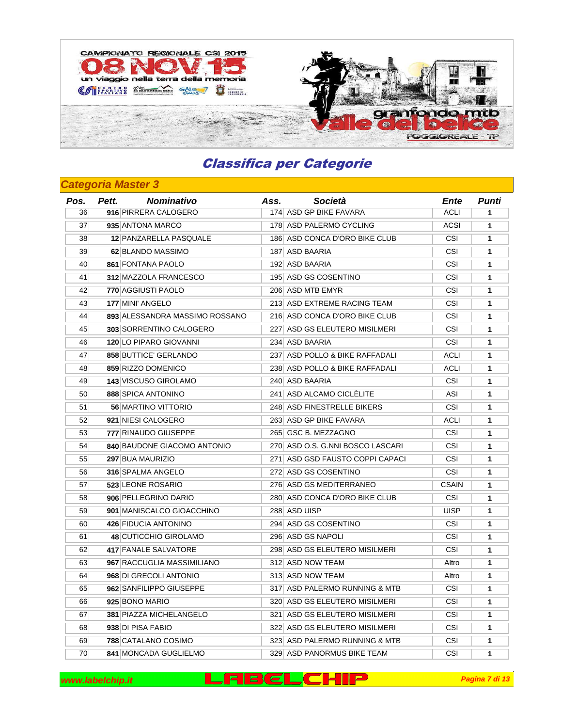

### **Categoria Master 3**

| Pos. | Pett. | <b>Nominativo</b>              | Ass. | Società                          | Ente         | <b>Punti</b> |
|------|-------|--------------------------------|------|----------------------------------|--------------|--------------|
| 36   |       | 916 PIRRERA CALOGERO           |      | 174 ASD GP BIKE FAVARA           | <b>ACLI</b>  | 1            |
| 37   |       | 935 ANTONA MARCO               |      | 178 ASD PALERMO CYCLING          | <b>ACSI</b>  | $\mathbf{1}$ |
| 38   |       | 12 PANZARELLA PASQUALE         |      | 186 ASD CONCA D'ORO BIKE CLUB    | CSI          | $\mathbf{1}$ |
| 39   |       | 62 BLANDO MASSIMO              |      | 187 ASD BAARIA                   | <b>CSI</b>   | $\mathbf{1}$ |
| 40   |       | 861 FONTANA PAOLO              |      | 192 ASD BAARIA                   | CSI          | 1            |
| 41   |       | 312 MAZZOLA FRANCESCO          |      | 195 ASD GS COSENTINO             | <b>CSI</b>   | 1            |
| 42   |       | 770 AGGIUSTI PAOLO             |      | 206 ASD MTB EMYR                 | CSI          | 1            |
| 43   |       | 177 MINI' ANGELO               |      | 213 ASD EXTREME RACING TEAM      | CSI          | $\mathbf{1}$ |
| 44   |       | 893 ALESSANDRA MASSIMO ROSSANO |      | 216 ASD CONCA D'ORO BIKE CLUB    | <b>CSI</b>   | $\mathbf{1}$ |
| 45   |       | 303 SORRENTINO CALOGERO        |      | 227 ASD GS ELEUTERO MISILMERI    | <b>CSI</b>   | $\mathbf{1}$ |
| 46   |       | 120 LO PIPARO GIOVANNI         |      | 234 ASD BAARIA                   | <b>CSI</b>   | $\mathbf{1}$ |
| 47   |       | 858 BUTTICE' GERLANDO          |      | 237 ASD POLLO & BIKE RAFFADALI   | ACLI         | $\mathbf{1}$ |
| 48   |       | 859 RIZZO DOMENICO             |      | 238 ASD POLLO & BIKE RAFFADALI   | ACLI         | $\mathbf{1}$ |
| 49   |       | 143 VISCUSO GIROLAMO           |      | 240 ASD BAARIA                   | CSI          | $\mathbf{1}$ |
| 50   |       | 888 SPICA ANTONINO             |      | 241 ASD ALCAMO CICLÈLITE         | <b>ASI</b>   | $\mathbf{1}$ |
| 51   |       | 56 MARTINO VITTORIO            |      | 248 ASD FINESTRELLE BIKERS       | CSI          | $\mathbf{1}$ |
| 52   |       | 921 NIESI CALOGERO             |      | 263 ASD GP BIKE FAVARA           | ACLI         | 1            |
| 53   |       | 777 RINAUDO GIUSEPPE           |      | 265 GSC B. MEZZAGNO              | <b>CSI</b>   | $\mathbf{1}$ |
| 54   |       | 840 BAUDONE GIACOMO ANTONIO    |      | 270 ASD O.S. G.NNI BOSCO LASCARI | CSI          | $\mathbf{1}$ |
| 55   |       | 297 BUA MAURIZIO               |      | 271 ASD GSD FAUSTO COPPI CAPACI  | <b>CSI</b>   | $\mathbf{1}$ |
| 56   |       | 316 SPALMA ANGELO              |      | 272 ASD GS COSENTINO             | <b>CSI</b>   | $\mathbf{1}$ |
| 57   |       | 523 LEONE ROSARIO              |      | 276 ASD GS MEDITERRANEO          | <b>CSAIN</b> | $\mathbf{1}$ |
| 58   |       | 906 PELLEGRINO DARIO           |      | 280 ASD CONCA D'ORO BIKE CLUB    | <b>CSI</b>   | 1            |
| 59   |       | 901 MANISCALCO GIOACCHINO      |      | 288 ASD UISP                     | <b>UISP</b>  | $\mathbf{1}$ |
| 60   |       | 426 FIDUCIA ANTONINO           |      | 294 ASD GS COSENTINO             | CSI          | $\mathbf{1}$ |
| 61   |       | 48 CUTICCHIO GIROLAMO          |      | 296 ASD GS NAPOLI                | CSI          | $\mathbf{1}$ |
| 62   |       | 417 FANALE SALVATORE           |      | 298 ASD GS ELEUTERO MISILMERI    | <b>CSI</b>   | $\mathbf{1}$ |
| 63   |       | 967 RACCUGLIA MASSIMILIANO     |      | 312 ASD NOW TEAM                 | Altro        | $\mathbf{1}$ |
| 64   |       | 968 DI GRECOLI ANTONIO         |      | 313 ASD NOW TEAM                 | Altro        | 1            |
| 65   |       | 962 SANFILIPPO GIUSEPPE        |      | 317 ASD PALERMO RUNNING & MTB    | CSI          | 1            |
| 66   |       | 925 BONO MARIO                 |      | 320 ASD GS ELEUTERO MISILMERI    | <b>CSI</b>   | 1            |
| 67   |       | 381 PIAZZA MICHELANGELO        |      | 321 ASD GS ELEUTERO MISILMERI    | CSI          | $\mathbf{1}$ |
| 68   |       | 938 DI PISA FABIO              |      | 322 ASD GS ELEUTERO MISILMERI    | <b>CSI</b>   | $\mathbf{1}$ |
| 69   |       | 788 CATALANO COSIMO            |      | 323 ASD PALERMO RUNNING & MTB    | <b>CSI</b>   | $\mathbf{1}$ |
| 70   |       | 841 MONCADA GUGLIELMO          |      | 329 ASD PANORMUS BIKE TEAM       | <b>CSI</b>   | 1            |

**www.labelchip.it Pagina 7 di 13 Pagina 7 di 13 Pagina 7 di 13**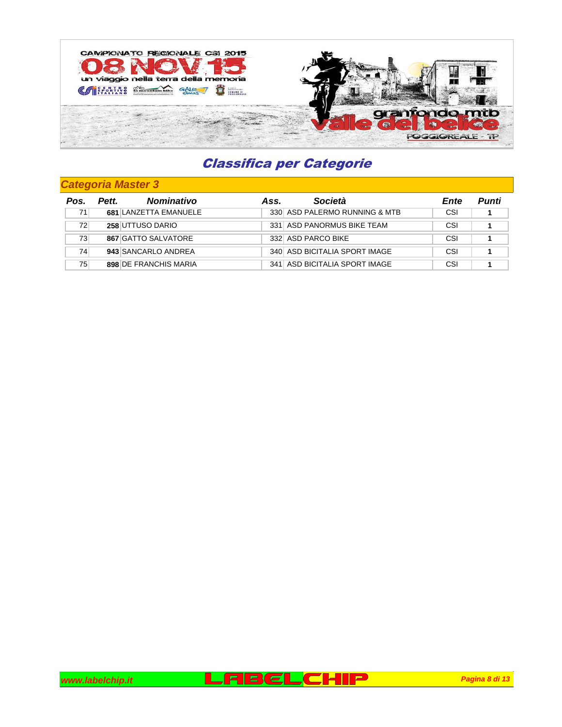

| Pos. | <b>Nominativo</b><br>Pett. | Ass. | Società                       | Ente | Punti |
|------|----------------------------|------|-------------------------------|------|-------|
| 71   | 681 LANZETTA EMANUELE      |      | 330 ASD PALERMO RUNNING & MTB | CSI  |       |
| 72   | 258 UTTUSO DARIO           |      | 331 ASD PANORMUS BIKE TEAM    | CSI  |       |
| 73   | 867 GATTO SALVATORE        |      | 332 ASD PARCO BIKE            | CSI  |       |
| 74   | 943 SANCARLO ANDREA        |      | 340 ASD BICITALIA SPORT IMAGE | CSI  |       |
| 75   | 898 DE FRANCHIS MARIA      |      | 341 ASD BICITALIA SPORT IMAGE | CSI  |       |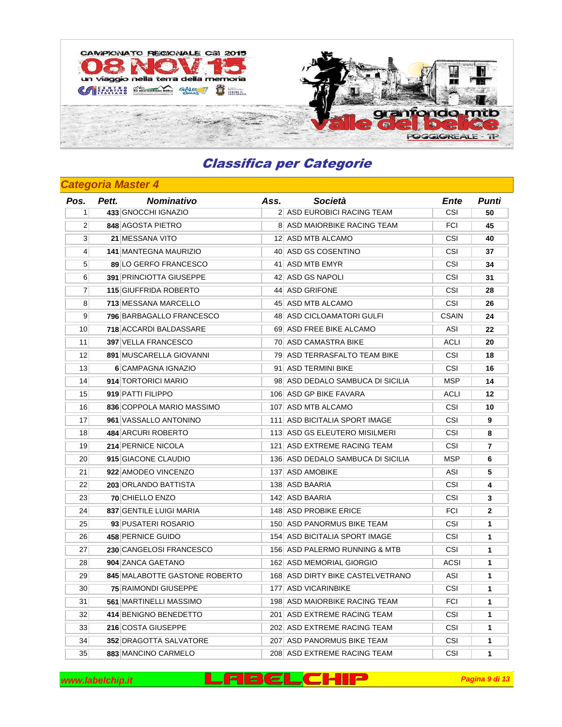

| Pos.            | Pett. | <b>Nominativo</b>              | Ass. | Società                           | Ente         | Punti          |
|-----------------|-------|--------------------------------|------|-----------------------------------|--------------|----------------|
| 1 <sup>1</sup>  |       | 433 GNOCCHI IGNAZIO            |      | 2 ASD EUROBICI RACING TEAM        | <b>CSI</b>   | 50             |
| $\overline{2}$  |       | 848 AGOSTA PIETRO              |      | 8 ASD MAIORBIKE RACING TEAM       | <b>FCI</b>   | 45             |
| 3 <sup>1</sup>  |       | 21 MESSANA VITO                |      | 12 ASD MTB ALCAMO                 | <b>CSI</b>   | 40             |
| $\vert 4 \vert$ |       | <b>141 MANTEGNA MAURIZIO</b>   |      | 40 ASD GS COSENTINO               | <b>CSI</b>   | 37             |
| 5 <sup>1</sup>  |       | 89 LO GERFO FRANCESCO          |      | 41 ASD MTB EMYR                   | <b>CSI</b>   | 34             |
| 6               |       | <b>391 PRINCIOTTA GIUSEPPE</b> |      | 42 ASD GS NAPOLI                  | <b>CSI</b>   | 31             |
| $\mathbf{7}$    |       | 115 GIUFFRIDA ROBERTO          |      | 44 ASD GRIFONE                    | CSI          | 28             |
| 8 <sup>1</sup>  |       | 713 MESSANA MARCELLO           |      | 45 ASD MTB ALCAMO                 | <b>CSI</b>   | 26             |
| 9 <sup>1</sup>  |       | 796 BARBAGALLO FRANCESCO       |      | 48 ASD CICLOAMATORI GULFI         | <b>CSAIN</b> | 24             |
| 10 <sup>1</sup> |       | 718 ACCARDI BALDASSARE         |      | 69 ASD FREE BIKE ALCAMO           | ASI          | 22             |
| 11              |       | 397 VELLA FRANCESCO            |      | 70 ASD CAMASTRA BIKE              | ACLI         | 20             |
| 12              |       | 891 MUSCARELLA GIOVANNI        |      | 79 ASD TERRASFALTO TEAM BIKE      | <b>CSI</b>   | 18             |
| 13 <sup>1</sup> |       | 6 CAMPAGNA IGNAZIO             |      | 91 ASD TERMINI BIKE               | CSI          | 16             |
| 14              |       | 914 TORTORICI MARIO            |      | 98 ASD DEDALO SAMBUCA DI SICILIA  | <b>MSP</b>   | 14             |
| 15              |       | 919 PATTI FILIPPO              |      | 106 ASD GP BIKE FAVARA            | <b>ACLI</b>  | 12             |
| 16              |       | 836 COPPOLA MARIO MASSIMO      |      | 107 ASD MTB ALCAMO                | CSI          | 10             |
| 17              |       | 961 VASSALLO ANTONINO          |      | 111 ASD BICITALIA SPORT IMAGE     | <b>CSI</b>   | 9              |
| 18              |       | 484 ARCURI ROBERTO             |      | 113 ASD GS ELEUTERO MISILMERI     | <b>CSI</b>   | 8              |
| 19              |       | 214 PERNICE NICOLA             |      | 121 ASD EXTREME RACING TEAM       | CSI          | $\overline{7}$ |
| 20 <sup>2</sup> |       | 915 GIACONE CLAUDIO            |      | 136 ASD DEDALO SAMBUCA DI SICILIA | <b>MSP</b>   | 6              |
| 21              |       | 922 AMODEO VINCENZO            |      | 137 ASD AMOBIKE                   | ASI          | 5              |
| 22              |       | 203 ORLANDO BATTISTA           |      | 138 ASD BAARIA                    | <b>CSI</b>   | 4              |
| 23              |       | 70 CHIELLO ENZO                |      | 142 ASD BAARIA                    | <b>CSI</b>   | 3              |
| 24              |       | 837 GENTILE LUIGI MARIA        |      | 148 ASD PROBIKE ERICE             | <b>FCI</b>   | $\mathbf{2}$   |
| 25              |       | 93 PUSATERI ROSARIO            |      | 150 ASD PANORMUS BIKE TEAM        | <b>CSI</b>   | $\mathbf{1}$   |
| 26              |       | 458 PERNICE GUIDO              |      | 154 ASD BICITALIA SPORT IMAGE     | CSI          | $\mathbf{1}$   |
| 27              |       | 230 CANGELOSI FRANCESCO        |      | 156 ASD PALERMO RUNNING & MTB     | <b>CSI</b>   | $\mathbf{1}$   |
| 28              |       | 904 ZANCA GAETANO              |      | 162 ASD MEMORIAL GIORGIO          | <b>ACSI</b>  | $\mathbf{1}$   |
| 29              |       | 845 MALABOTTE GASTONE ROBERTO  |      | 168 ASD DIRTY BIKE CASTELVETRANO  | ASI          | 1              |
| 30 <sup>°</sup> |       | <b>75 RAIMONDI GIUSEPPE</b>    |      | 177 ASD VICARINBIKE               | <b>CSI</b>   | 1              |
| 31              |       | 561 MARTINELLI MASSIMO         |      | 198 ASD MAIORBIKE RACING TEAM     | <b>FCI</b>   | 1              |
| 32              |       | 414 BENIGNO BENEDETTO          |      | 201 ASD EXTREME RACING TEAM       | CSI          | $\mathbf{1}$   |
| 33              |       | 216 COSTA GIUSEPPE             |      | 202 ASD EXTREME RACING TEAM       | <b>CSI</b>   | $\mathbf{1}$   |
| 34              |       | 352 DRAGOTTA SALVATORE         |      | 207 ASD PANORMUS BIKE TEAM        | <b>CSI</b>   | $\mathbf{1}$   |
| 35              |       | 883 MANCINO CARMELO            |      | 208 ASD EXTREME RACING TEAM       | <b>CSI</b>   | $\mathbf{1}$   |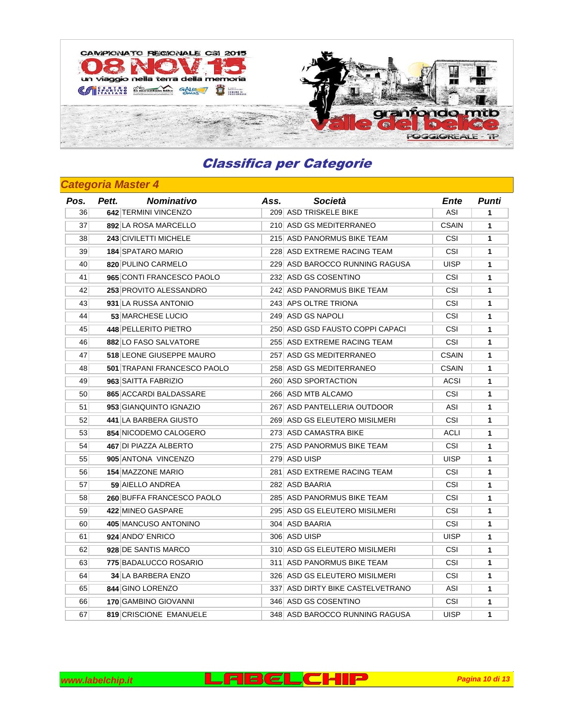

| Pos. | <b>Nominativo</b><br>Pett.      | Ass. | Società                          | Ente         | Punti        |
|------|---------------------------------|------|----------------------------------|--------------|--------------|
| 36   | 642 TERMINI VINCENZO            |      | 209 ASD TRISKELE BIKE            | ASI          | 1            |
| 37   | 892 LA ROSA MARCELLO            |      | 210 ASD GS MEDITERRANEO          | <b>CSAIN</b> | $\mathbf{1}$ |
| 38   | 243 CIVILETTI MICHELE           |      | 215 ASD PANORMUS BIKE TEAM       | <b>CSI</b>   | $\mathbf{1}$ |
| 39   | <b>184 SPATARO MARIO</b>        |      | 228 ASD EXTREME RACING TEAM      | <b>CSI</b>   | $\mathbf{1}$ |
| 40   | 820 PULINO CARMELO              |      | 229 ASD BAROCCO RUNNING RAGUSA   | UISP         | 1            |
| 41   | 965 CONTI FRANCESCO PAOLO       |      | 232 ASD GS COSENTINO             | <b>CSI</b>   | $\mathbf{1}$ |
| 42   | 253 PROVITO ALESSANDRO          |      | 242 ASD PANORMUS BIKE TEAM       | <b>CSI</b>   | $\mathbf{1}$ |
| 43   | 931 LA RUSSA ANTONIO            |      | 243 APS OLTRE TRIONA             | <b>CSI</b>   | $\mathbf{1}$ |
| 44   | 53 MARCHESE LUCIO               |      | 249 ASD GS NAPOLI                | CSI          | 1            |
| 45   | 448 PELLERITO PIETRO            |      | 250 ASD GSD FAUSTO COPPI CAPACI  | <b>CSI</b>   | $\mathbf{1}$ |
| 46   | 882 LO FASO SALVATORE           |      | 255 ASD EXTREME RACING TEAM      | CSI          | $\mathbf{1}$ |
| 47   | <b>518 LEONE GIUSEPPE MAURO</b> |      | 257 ASD GS MEDITERRANEO          | <b>CSAIN</b> | $\mathbf{1}$ |
| 48   | 501 TRAPANI FRANCESCO PAOLO     |      | 258 ASD GS MEDITERRANEO          | <b>CSAIN</b> | $\mathbf{1}$ |
| 49   | 963 SAITTA FABRIZIO             |      | 260 ASD SPORTACTION              | <b>ACSI</b>  | $\mathbf{1}$ |
| 50   | 865 ACCARDI BALDASSARE          |      | 266 ASD MTB ALCAMO               | <b>CSI</b>   | $\mathbf{1}$ |
| 51   | 953 GIANQUINTO IGNAZIO          |      | 267 ASD PANTELLERIA OUTDOOR      | ASI          | 1            |
| 52   | 441 LA BARBERA GIUSTO           |      | 269 ASD GS ELEUTERO MISILMERI    | <b>CSI</b>   | $\mathbf{1}$ |
| 53   | 854 NICODEMO CALOGERO           |      | 273 ASD CAMASTRA BIKE            | ACLI         | $\mathbf{1}$ |
| 54   | 467 DI PIAZZA ALBERTO           |      | 275 ASD PANORMUS BIKE TEAM       | CSI          | $\mathbf{1}$ |
| 55   | 905 ANTONA VINCENZO             |      | 279 ASD UISP                     | UISP         | 1            |
| 56   | <b>154 MAZZONE MARIO</b>        |      | 281 ASD EXTREME RACING TEAM      | <b>CSI</b>   | $\mathbf{1}$ |
| 57   | 59 AIELLO ANDREA                |      | 282 ASD BAARIA                   | CSI          | $\mathbf{1}$ |
| 58   | 260 BUFFA FRANCESCO PAOLO       |      | 285 ASD PANORMUS BIKE TEAM       | <b>CSI</b>   | $\mathbf{1}$ |
| 59   | 422 MINEO GASPARE               |      | 295 ASD GS ELEUTERO MISILMERI    | <b>CSI</b>   | $\mathbf{1}$ |
| 60   | 405 MANCUSO ANTONINO            |      | 304 ASD BAARIA                   | CSI          | $\mathbf{1}$ |
| 61   | 924 ANDO' ENRICO                |      | 306 ASD UISP                     | UISP         | $\mathbf{1}$ |
| 62   | 928 DE SANTIS MARCO             |      | 310 ASD GS ELEUTERO MISILMERI    | <b>CSI</b>   | $\mathbf{1}$ |
| 63   | 775 BADALUCCO ROSARIO           |      | 311 ASD PANORMUS BIKE TEAM       | CSI          | $\mathbf{1}$ |
| 64   | <b>34 LA BARBERA ENZO</b>       |      | 326 ASD GS ELEUTERO MISILMERI    | <b>CSI</b>   | $\mathbf{1}$ |
| 65   | 844 GINO LORENZO                |      | 337 ASD DIRTY BIKE CASTELVETRANO | ASI          | 1            |
| 66   | 170 GAMBINO GIOVANNI            |      | 346 ASD GS COSENTINO             | <b>CSI</b>   | 1            |
| 67   | 819 CRISCIONE EMANUELE          |      | 348 ASD BAROCCO RUNNING RAGUSA   | UISP         | 1            |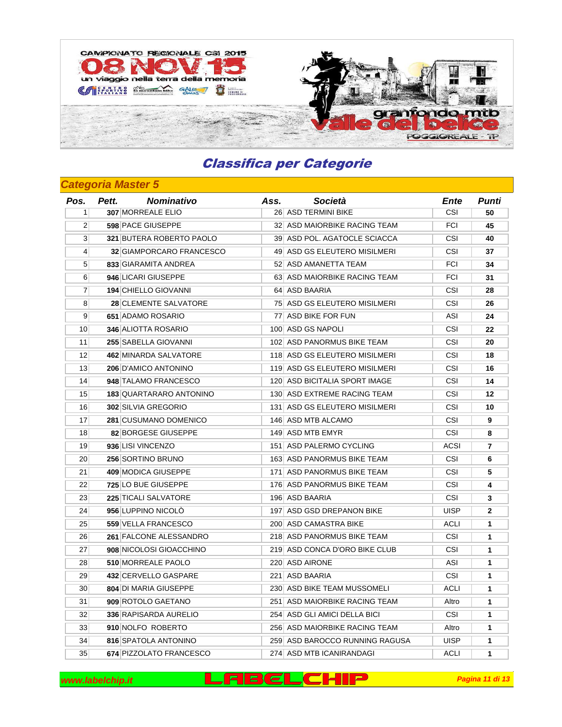

### **Categoria Master 5**

| Pos.             | <b>Nominativo</b><br>Pett.   | Ass. | Società                        | Ente        | Punti          |
|------------------|------------------------------|------|--------------------------------|-------------|----------------|
| 1 <sup>1</sup>   | 307 MORREALE ELIO            |      | 26 ASD TERMINI BIKE            | <b>CSI</b>  | 50             |
| 2 <sup>1</sup>   | 598 PACE GIUSEPPE            |      | 32 ASD MAIORBIKE RACING TEAM   | <b>FCI</b>  | 45             |
| 3 <sup>1</sup>   | 321 BUTERA ROBERTO PAOLO     |      | 39 ASD POL. AGATOCLE SCIACCA   | <b>CSI</b>  | 40             |
| $\left 4\right $ | 32 GIAMPORCARO FRANCESCO     |      | 49 ASD GS ELEUTERO MISILMERI   | CSI         | 37             |
| 5 <sup>5</sup>   | 833 GIARAMITA ANDREA         |      | 52 ASD AMANETTA TEAM           | <b>FCI</b>  | 34             |
| $6 \mid$         | 946 LICARI GIUSEPPE          |      | 63 ASD MAIORBIKE RACING TEAM   | <b>FCI</b>  | 31             |
| $\overline{7}$   | 194 CHIELLO GIOVANNI         |      | 64 ASD BAARIA                  | CSI         | 28             |
| 8                | 28 CLEMENTE SALVATORE        |      | 75 ASD GS ELEUTERO MISILMERI   | CSI         | 26             |
| 9 <sup>1</sup>   | 651 ADAMO ROSARIO            |      | 77 ASD BIKE FOR FUN            | ASI         | 24             |
| 10 <sup>1</sup>  | 346 ALIOTTA ROSARIO          |      | 100 ASD GS NAPOLI              | CSI         | 22             |
| 11               | 255 SABELLA GIOVANNI         |      | 102 ASD PANORMUS BIKE TEAM     | <b>CSI</b>  | 20             |
| 12               | 462 MINARDA SALVATORE        |      | 118 ASD GS ELEUTERO MISILMERI  | CSI         | 18             |
| 13               | 206 D'AMICO ANTONINO         |      | 119 ASD GS ELEUTERO MISILMERI  | CSI         | 16             |
| 14               | 948 TALAMO FRANCESCO         |      | 120 ASD BICITALIA SPORT IMAGE  | CSI         | 14             |
| 15               | 183 QUARTARARO ANTONINO      |      | 130 ASD EXTREME RACING TEAM    | <b>CSI</b>  | 12             |
| 16               | 302 SILVIA GREGORIO          |      | 131 ASD GS ELEUTERO MISILMERI  | CSI         | 10             |
| 17               | 281 CUSUMANO DOMENICO        |      | 146 ASD MTB ALCAMO             | CSI         | 9              |
| 18               | 82 BORGESE GIUSEPPE          |      | 149 ASD MTB EMYR               | <b>CSI</b>  | 8              |
| 19 <sup>°</sup>  | 936 LISI VINCENZO            |      | 151 ASD PALERMO CYCLING        | <b>ACSI</b> | $\overline{7}$ |
| 20 <sup>2</sup>  | 256 SORTINO BRUNO            |      | 163 ASD PANORMUS BIKE TEAM     | CSI         | 6              |
| 21               | 409 MODICA GIUSEPPE          |      | 171 ASD PANORMUS BIKE TEAM     | <b>CSI</b>  | 5              |
| 22               | 725 LO BUE GIUSEPPE          |      | 176 ASD PANORMUS BIKE TEAM     | <b>CSI</b>  | 4              |
| 23               | 225 TICALI SALVATORE         |      | 196 ASD BAARIA                 | <b>CSI</b>  | 3              |
| 24               | 956 LUPPINO NICOLÒ           |      | 197 ASD GSD DREPANON BIKE      | <b>UISP</b> | 2              |
| 25               | 559 VELLA FRANCESCO          |      | 200 ASD CAMASTRA BIKE          | <b>ACLI</b> | 1              |
| 26               | 261 FALCONE ALESSANDRO       |      | 218 ASD PANORMUS BIKE TEAM     | CSI         | $\mathbf{1}$   |
| 27               | 908 NICOLOSI GIOACCHINO      |      | 219 ASD CONCA D'ORO BIKE CLUB  | <b>CSI</b>  | $\mathbf{1}$   |
| 28               | 510 MORREALE PAOLO           |      | 220 ASD AIRONE                 | ASI         | $\mathbf{1}$   |
| 29               | 432 CERVELLO GASPARE         |      | 221 ASD BAARIA                 | CSI         | 1              |
| 30 <sup>°</sup>  | <b>804 DI MARIA GIUSEPPE</b> |      | 230 ASD BIKE TEAM MUSSOMELI    | ACLI        | 1              |
| 31               | 909 ROTOLO GAETANO           |      | 251 ASD MAIORBIKE RACING TEAM  | Altro       | 1              |
| 32               | 336 RAPISARDA AURELIO        |      | 254 ASD GLI AMICI DELLA BICI   | CSI         | $\mathbf{1}$   |
| 33               | 910 NOLFO ROBERTO            |      | 256 ASD MAIORBIKE RACING TEAM  | Altro       | $\mathbf{1}$   |
| 34               | 816 SPATOLA ANTONINO         |      | 259 ASD BAROCCO RUNNING RAGUSA | <b>UISP</b> | $\mathbf{1}$   |
| 35               | 674 PIZZOLATO FRANCESCO      |      | 274 ASD MTB ICANIRANDAGI       | ACLI        | 1              |

**www.labelchip.it Pagina 11 di 13 Pagina 11 di 13**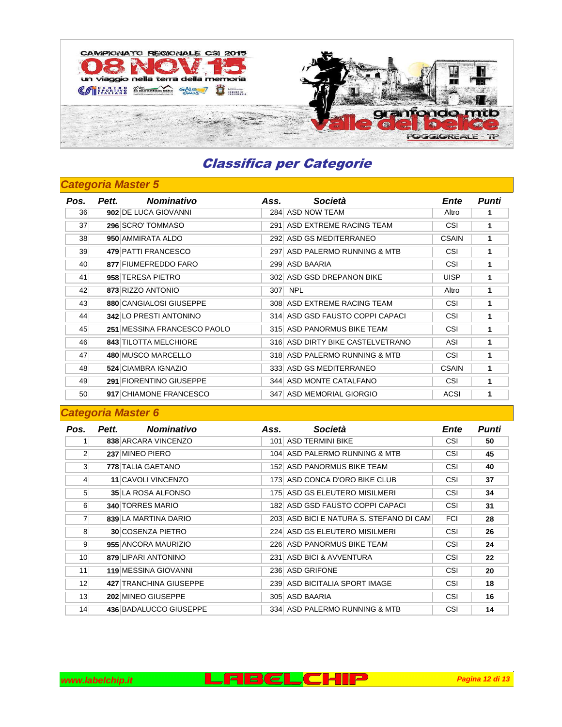

### **Categoria Master 5**

| Pos. | <b>Nominativo</b><br>Pett.   | Ass. | Società                          | Ente         | Punti |
|------|------------------------------|------|----------------------------------|--------------|-------|
| 36   | 902 DE LUCA GIOVANNI         |      | 284 ASD NOW TEAM                 | Altro        |       |
| 37   | 296 SCRO' TOMMASO            |      | 291 ASD EXTREME RACING TEAM      | <b>CSI</b>   | 1     |
| 38   | 950 AMMIRATA ALDO            |      | 292 ASD GS MEDITERRANEO          | <b>CSAIN</b> | 1     |
| 39   | 479 PATTI FRANCESCO          |      | 297 ASD PALERMO RUNNING & MTB    | CSI          | 1     |
| 40   | 877 FIUMEFREDDO FARO         |      | 299 ASD BAARIA                   | <b>CSI</b>   | 1     |
| 41   | 958 TERESA PIETRO            |      | 302 ASD GSD DREPANON BIKE        | <b>UISP</b>  | 1     |
| 42   | 873 RIZZO ANTONIO            | 307  | <b>NPL</b>                       | Altro        | 1     |
| 43   | 880 CANGIALOSI GIUSEPPE      |      | 308 ASD EXTREME RACING TEAM      | CSI          | 1     |
| 44   | 342 LO PRESTI ANTONINO       |      | 314 ASD GSD FAUSTO COPPI CAPACI  | CSI          | 1     |
| 45   | 251 MESSINA FRANCESCO PAOLO  |      | 315 ASD PANORMUS BIKE TEAM       | CSI          | 1     |
| 46   | <b>843 TILOTTA MELCHIORE</b> |      | 316 ASD DIRTY BIKE CASTELVETRANO | ASI          | 1     |
| 47   | 480 MUSCO MARCELLO           |      | 318 ASD PALERMO RUNNING & MTB    | CSI          | 1     |
| 48   | 524 CIAMBRA IGNAZIO          |      | 333 ASD GS MEDITERRANEO          | <b>CSAIN</b> | 1     |
| 49   | 291 FIORENTINO GIUSEPPE      |      | 344 ASD MONTE CATALFANO          | CSI          | 1     |
| 50   | 917 CHIAMONE FRANCESCO       |      | 347 ASD MEMORIAL GIORGIO         | ACSI         | 1     |

| Pos.            | <b>Nominativo</b><br>Pett.  | Ass. | Società                                 | Ente       | Punti |
|-----------------|-----------------------------|------|-----------------------------------------|------------|-------|
|                 | 838 ARCARA VINCENZO         |      | 101 ASD TERMINI BIKE                    | CSI        | 50    |
| $\overline{2}$  | 237 MINEO PIERO             |      | 104 ASD PALERMO RUNNING & MTB           | <b>CSI</b> | 45    |
| 3 <sup>1</sup>  | 778 TALIA GAETANO           |      | 152 ASD PANORMUS BIKE TEAM              | <b>CSI</b> | 40    |
| $\vert 4 \vert$ | <b>11 CAVOLI VINCENZO</b>   |      | 173 ASD CONCA D'ORO BIKE CLUB           | CSI        | 37    |
| 5 <sup>1</sup>  | 35 LA ROSA ALFONSO          |      | 175 ASD GS ELEUTERO MISILMERI           | <b>CSI</b> | 34    |
| 6 <sup>1</sup>  | <b>340 TORRES MARIO</b>     |      | 182 ASD GSD FAUSTO COPPI CAPACI         | CSI        | 31    |
|                 | 839 LA MARTINA DARIO        |      | 203 ASD BICI E NATURA S. STEFANO DI CAM | <b>FCI</b> | 28    |
| 8 <sup>1</sup>  | <b>30 COSENZA PIETRO</b>    |      | 224 ASD GS ELEUTERO MISILMERI           | <b>CSI</b> | 26    |
| 9 <sup>1</sup>  | 955 ANCORA MAURIZIO         |      | 226 ASD PANORMUS BIKE TEAM              | <b>CSI</b> | 24    |
| 10 <sup>1</sup> | 879 LIPARI ANTONINO         |      | 231 ASD BICI & AVVENTURA                | CSI        | 22    |
| 11              | <b>119 MESSINA GIOVANNI</b> |      | 236 ASD GRIFONE                         | CSI        | 20    |
| 12              | 427 TRANCHINA GIUSEPPE      |      | 239 ASD BICITALIA SPORT IMAGE           | <b>CSI</b> | 18    |
| 13              | 202 MINEO GIUSEPPE          |      | 305 ASD BAARIA                          | CSI        | 16    |
| 14              | 436 BADALUCCO GIUSEPPE      |      | 334 ASD PALERMO RUNNING & MTB           | <b>CSI</b> | 14    |